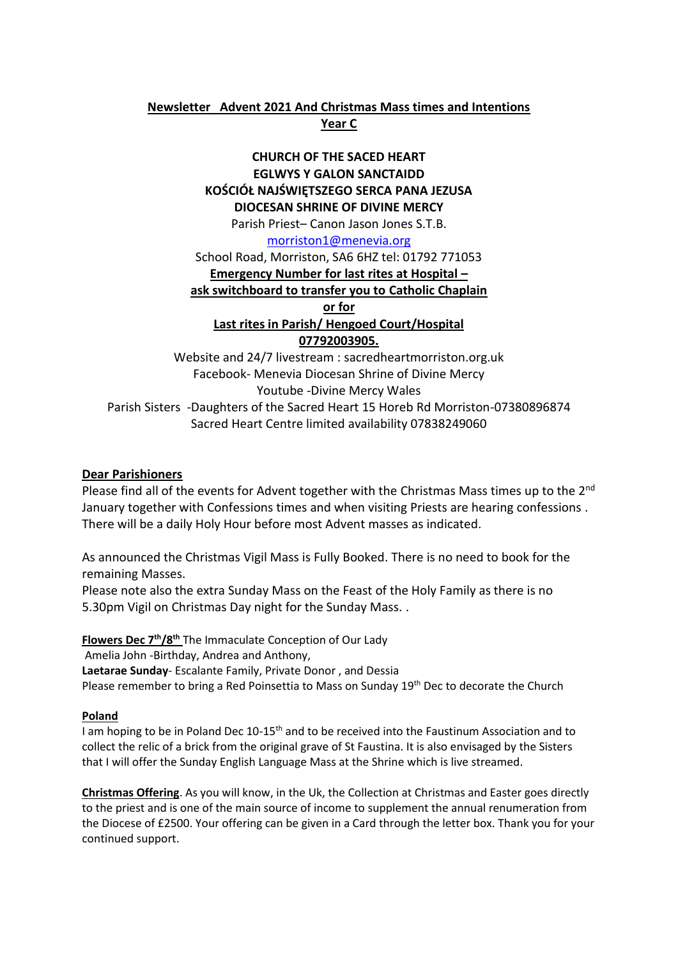### **Newsletter Advent 2021 And Christmas Mass times and Intentions Year C**

### **CHURCH OF THE SACED HEART EGLWYS Y GALON SANCTAIDD KOŚCIÓŁ NAJŚWIĘTSZEGO SERCA PANA JEZUSA DIOCESAN SHRINE OF DIVINE MERCY**

Parish Priest– Canon Jason Jones S.T.B.

[morriston1@menevia.org](mailto:morriston1@menevia.org)

School Road, Morriston, SA6 6HZ tel: 01792 771053

**Emergency Number for last rites at Hospital –**

**ask switchboard to transfer you to Catholic Chaplain** 

**or for** 

**Last rites in Parish/ Hengoed Court/Hospital 07792003905.** 

Website and 24/7 livestream : sacredheartmorriston.org.uk Facebook- Menevia Diocesan Shrine of Divine Mercy Youtube -Divine Mercy Wales Parish Sisters -Daughters of the Sacred Heart 15 Horeb Rd Morriston-07380896874 Sacred Heart Centre limited availability 07838249060

### **Dear Parishioners**

Please find all of the events for Advent together with the Christmas Mass times up to the 2<sup>nd</sup> January together with Confessions times and when visiting Priests are hearing confessions . There will be a daily Holy Hour before most Advent masses as indicated.

As announced the Christmas Vigil Mass is Fully Booked. There is no need to book for the remaining Masses.

Please note also the extra Sunday Mass on the Feast of the Holy Family as there is no 5.30pm Vigil on Christmas Day night for the Sunday Mass. .

**Flowers Dec 7 th/8 th** The Immaculate Conception of Our Lady Amelia John -Birthday, Andrea and Anthony, **Laetarae Sunday**- Escalante Family, Private Donor , and Dessia Please remember to bring a Red Poinsettia to Mass on Sunday 19<sup>th</sup> Dec to decorate the Church

### **Poland**

I am hoping to be in Poland Dec 10-15th and to be received into the Faustinum Association and to collect the relic of a brick from the original grave of St Faustina. It is also envisaged by the Sisters that I will offer the Sunday English Language Mass at the Shrine which is live streamed.

**Christmas Offering**. As you will know, in the Uk, the Collection at Christmas and Easter goes directly to the priest and is one of the main source of income to supplement the annual renumeration from the Diocese of £2500. Your offering can be given in a Card through the letter box. Thank you for your continued support.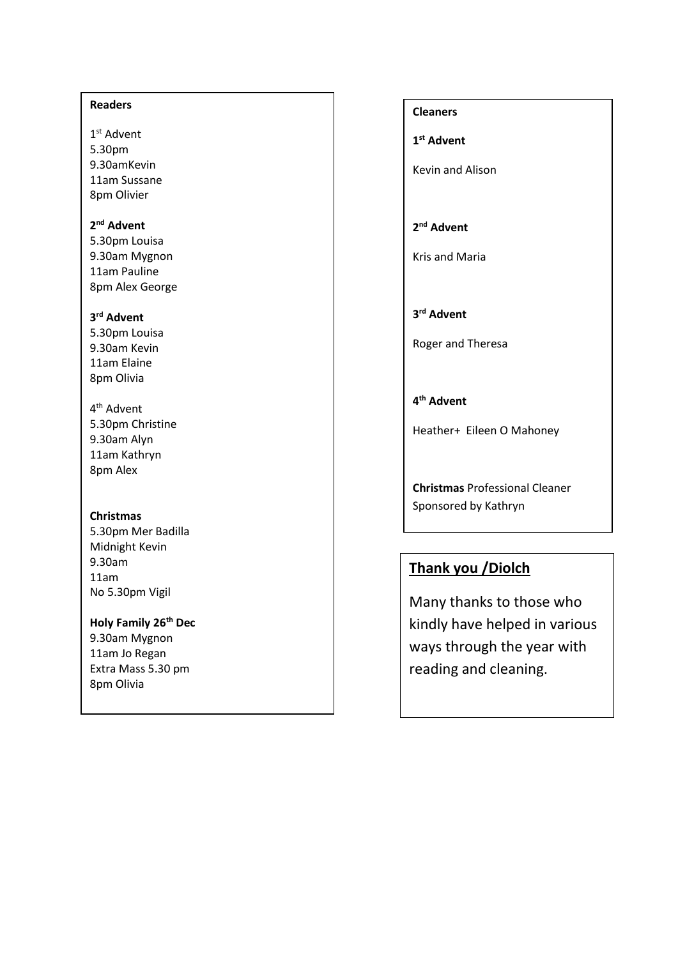#### **Readers**

1 st Advent 5.30pm 9.30amKevin 11am Sussane 8pm Olivier

### **2 nd Advent**

5.30pm Louisa 9.30am Mygnon 11am Pauline 8pm Alex George

### **3 rd Advent**

- 5.30pm Louisa 9.30am Kevin 11am Elaine 8pm Olivia
- 4<sup>th</sup> Advent 5.30pm Christine 9.30am Alyn 11am Kathryn 8pm Alex

### **Christmas**

5.30pm Mer Badilla Midnight Kevin 9.30am 11am No 5.30pm Vigil

### **Holy Family 26th Dec**

9.30am Mygnon 11am Jo Regan Extra Mass 5.30 pm 8pm Olivia

**Cleaners 1 st Advent**

Kevin and Alison

### **2 nd Advent**

Kris and Maria

**3 rd Advent**

Roger and Theresa

**4 th Advent**

Heather+ Eileen O Mahoney

**Christmas** Professional Cleaner Sponsored by Kathryn

## **Thank you /Diolch**

Many thanks to those who kindly have helped in various ways through the year with reading and cleaning.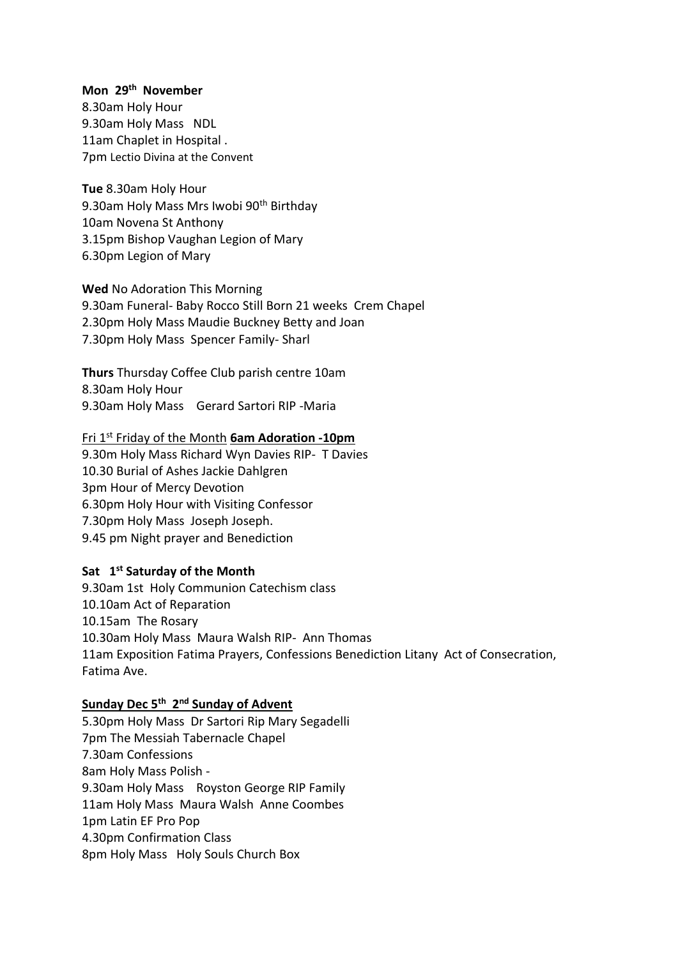### **Mon 29th November**

8.30am Holy Hour 9.30am Holy Mass NDL 11am Chaplet in Hospital . 7pm Lectio Divina at the Convent

**Tue** 8.30am Holy Hour 9.30am Holy Mass Mrs Iwobi 90<sup>th</sup> Birthday 10am Novena St Anthony 3.15pm Bishop Vaughan Legion of Mary 6.30pm Legion of Mary

**Wed** No Adoration This Morning 9.30am Funeral- Baby Rocco Still Born 21 weeks Crem Chapel 2.30pm Holy Mass Maudie Buckney Betty and Joan 7.30pm Holy Mass Spencer Family- Sharl

**Thurs** Thursday Coffee Club parish centre 10am 8.30am Holy Hour 9.30am Holy Mass Gerard Sartori RIP -Maria

Fri 1st Friday of the Month **6am Adoration -10pm**

9.30m Holy Mass Richard Wyn Davies RIP- T Davies 10.30 Burial of Ashes Jackie Dahlgren 3pm Hour of Mercy Devotion 6.30pm Holy Hour with Visiting Confessor 7.30pm Holy Mass Joseph Joseph. 9.45 pm Night prayer and Benediction

### **Sat 1 st Saturday of the Month**

9.30am 1st Holy Communion Catechism class 10.10am Act of Reparation 10.15amThe Rosary 10.30am Holy Mass Maura Walsh RIP- Ann Thomas 11am Exposition Fatima Prayers, Confessions Benediction Litany Act of Consecration, Fatima Ave.

### **Sunday Dec 5th 2 nd Sunday of Advent**

5.30pm Holy Mass Dr Sartori Rip Mary Segadelli 7pm The Messiah Tabernacle Chapel 7.30am Confessions 8am Holy Mass Polish - 9.30am Holy Mass Royston George RIP Family 11am Holy Mass Maura Walsh Anne Coombes 1pm Latin EF Pro Pop 4.30pm Confirmation Class 8pm Holy Mass Holy Souls Church Box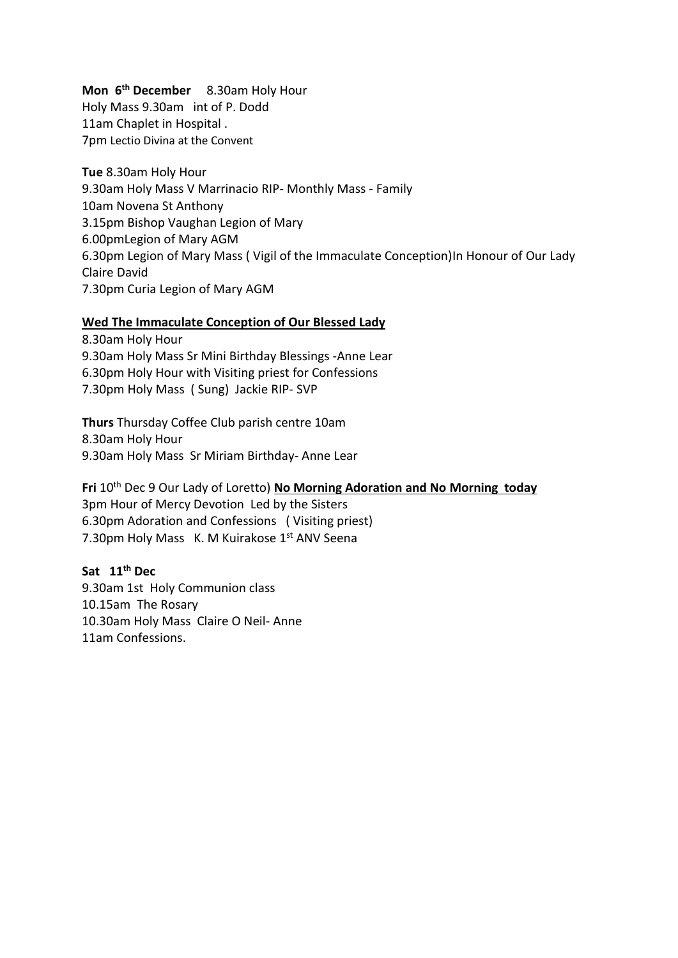### **Mon 6 th December** 8.30am Holy Hour

Holy Mass 9.30am int of P. Dodd 11am Chaplet in Hospital . 7pm Lectio Divina at the Convent

**Tue** 8.30am Holy Hour 9.30am Holy Mass V Marrinacio RIP- Monthly Mass - Family 10am Novena St Anthony 3.15pm Bishop Vaughan Legion of Mary 6.00pmLegion of Mary AGM 6.30pm Legion of Mary Mass ( Vigil of the Immaculate Conception)In Honour of Our Lady Claire David 7.30pm Curia Legion of Mary AGM

### **Wed The Immaculate Conception of Our Blessed Lady**

8.30am Holy Hour 9.30am Holy Mass Sr Mini Birthday Blessings -Anne Lear 6.30pm Holy Hour with Visiting priest for Confessions 7.30pm Holy Mass ( Sung) Jackie RIP- SVP

**Thurs** Thursday Coffee Club parish centre 10am 8.30am Holy Hour 9.30am Holy Mass Sr Miriam Birthday- Anne Lear

**Fri** 10th Dec 9 Our Lady of Loretto) **No Morning Adoration and No Morning today** 3pm Hour of Mercy Devotion Led by the Sisters 6.30pm Adoration and Confessions ( Visiting priest) 7.30pm Holy Mass K. M Kuirakose 1st ANV Seena

## **Sat 11th Dec**

9.30am 1st Holy Communion class 10.15amThe Rosary 10.30am Holy Mass Claire O Neil- Anne 11am Confessions.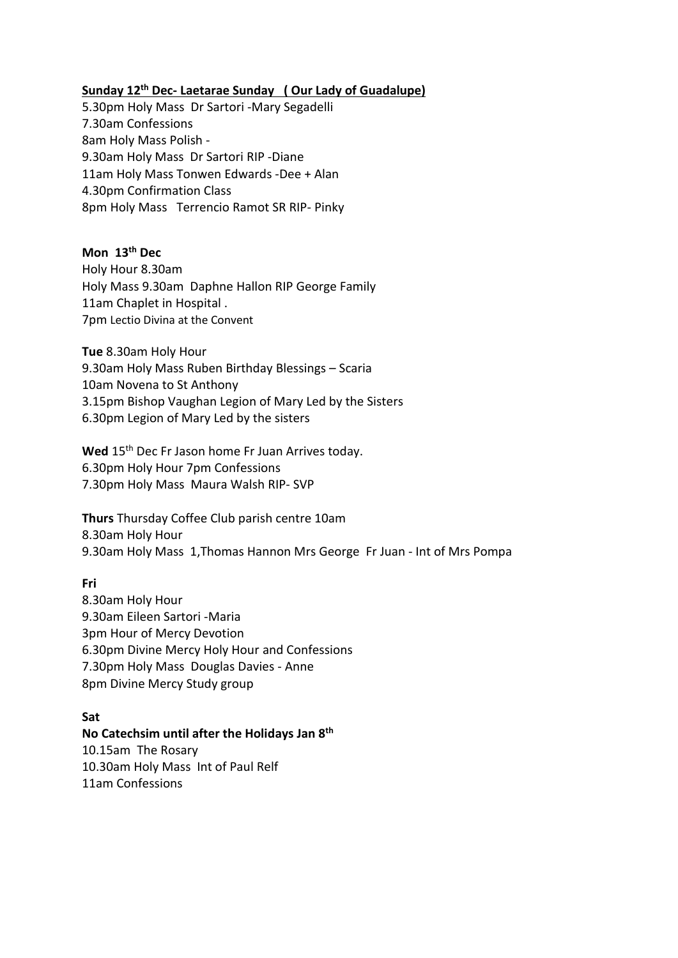### **Sunday 12th Dec- Laetarae Sunday ( Our Lady of Guadalupe)**

5.30pm Holy Mass Dr Sartori -Mary Segadelli 7.30am Confessions 8am Holy Mass Polish - 9.30am Holy Mass Dr Sartori RIP -Diane 11am Holy Mass Tonwen Edwards -Dee + Alan 4.30pm Confirmation Class 8pm Holy Mass Terrencio Ramot SR RIP- Pinky

### **Mon 13th Dec**

Holy Hour 8.30am Holy Mass 9.30am Daphne Hallon RIP George Family 11am Chaplet in Hospital . 7pm Lectio Divina at the Convent

**Tue** 8.30am Holy Hour 9.30am Holy Mass Ruben Birthday Blessings – Scaria 10am Novena to St Anthony 3.15pm Bishop Vaughan Legion of Mary Led by the Sisters 6.30pm Legion of Mary Led by the sisters

Wed 15<sup>th</sup> Dec Fr Jason home Fr Juan Arrives today. 6.30pm Holy Hour 7pm Confessions 7.30pm Holy Mass Maura Walsh RIP- SVP

**Thurs** Thursday Coffee Club parish centre 10am 8.30am Holy Hour 9.30am Holy Mass 1,Thomas Hannon Mrs George Fr Juan - Int of Mrs Pompa

### **Fri**

8.30am Holy Hour 9.30am Eileen Sartori -Maria 3pm Hour of Mercy Devotion 6.30pm Divine Mercy Holy Hour and Confessions 7.30pm Holy Mass Douglas Davies - Anne 8pm Divine Mercy Study group

### **Sat**

### **No Catechsim until after the Holidays Jan 8th**  10.15amThe Rosary 10.30am Holy Mass Int of Paul Relf 11am Confessions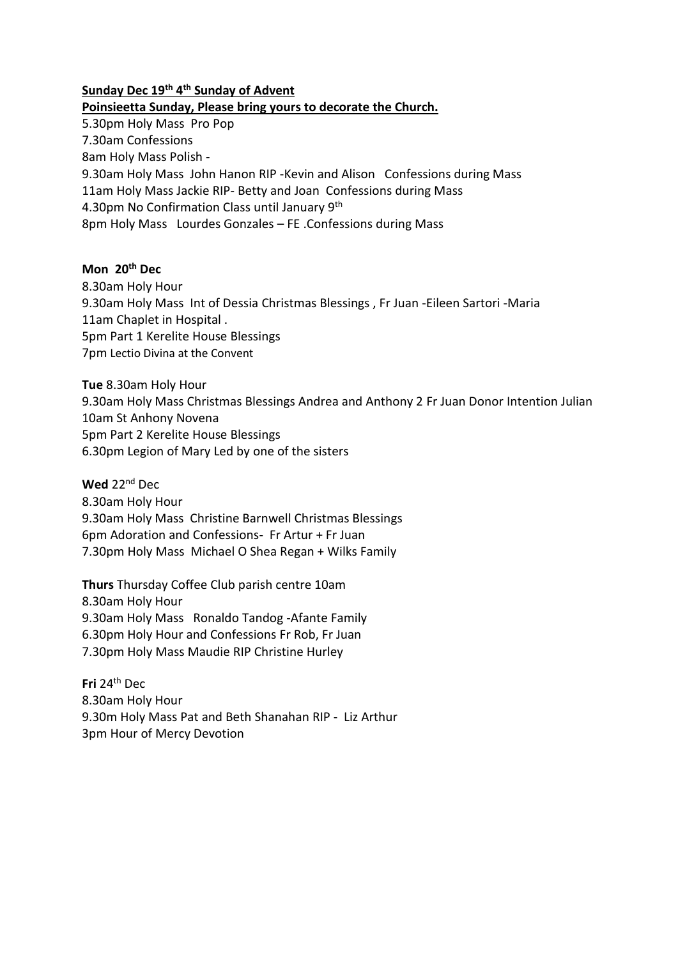### **Sunday Dec 19th 4 th Sunday of Advent**

### **Poinsieetta Sunday, Please bring yours to decorate the Church.**

5.30pm Holy Mass Pro Pop 7.30am Confessions 8am Holy Mass Polish - 9.30am Holy Mass John Hanon RIP -Kevin and Alison Confessions during Mass 11am Holy Mass Jackie RIP- Betty and Joan Confessions during Mass 4.30pm No Confirmation Class until January 9th 8pm Holy Mass Lourdes Gonzales – FE .Confessions during Mass

### **Mon 20th Dec**

8.30am Holy Hour 9.30am Holy Mass Int of Dessia Christmas Blessings , Fr Juan -Eileen Sartori -Maria 11am Chaplet in Hospital . 5pm Part 1 Kerelite House Blessings 7pm Lectio Divina at the Convent

**Tue** 8.30am Holy Hour 9.30am Holy Mass Christmas Blessings Andrea and Anthony 2 Fr Juan Donor Intention Julian 10am St Anhony Novena 5pm Part 2 Kerelite House Blessings 6.30pm Legion of Mary Led by one of the sisters

**Wed** 22nd Dec

8.30am Holy Hour 9.30am Holy Mass Christine Barnwell Christmas Blessings 6pm Adoration and Confessions- Fr Artur + Fr Juan 7.30pm Holy Mass Michael O Shea Regan + Wilks Family

**Thurs** Thursday Coffee Club parish centre 10am

8.30am Holy Hour

9.30am Holy Mass Ronaldo Tandog -Afante Family

6.30pm Holy Hour and Confessions Fr Rob, Fr Juan

7.30pm Holy Mass Maudie RIP Christine Hurley

**Fri** 24th Dec 8.30am Holy Hour 9.30m Holy Mass Pat and Beth Shanahan RIP - Liz Arthur 3pm Hour of Mercy Devotion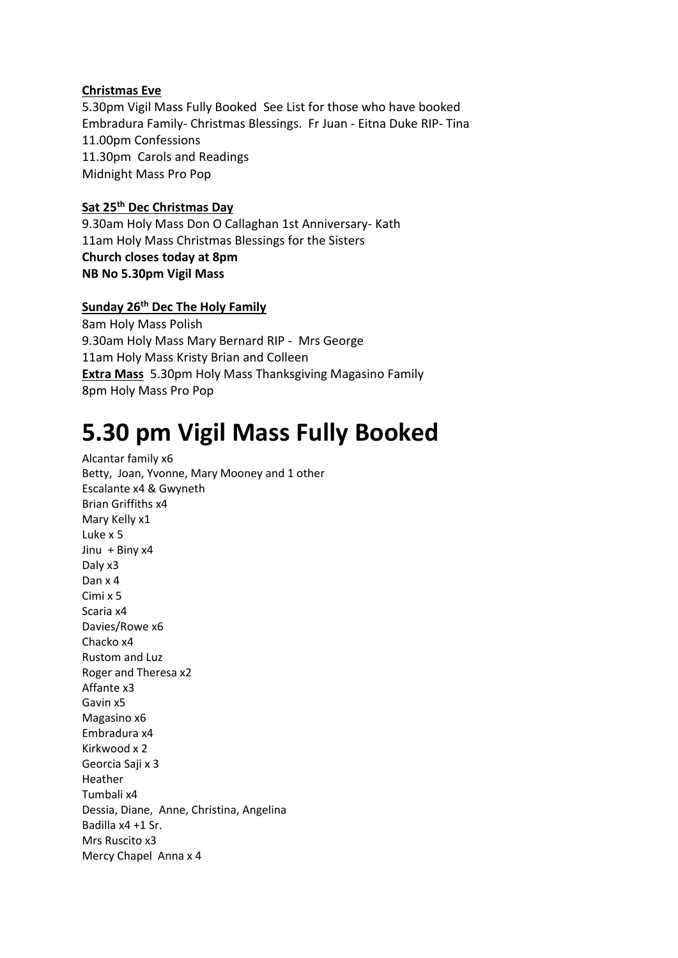### **Christmas Eve**

5.30pm Vigil Mass Fully Booked See List for those who have booked Embradura Family- Christmas Blessings. Fr Juan - Eitna Duke RIP- Tina 11.00pm Confessions 11.30pm Carols and Readings Midnight Mass Pro Pop

### **Sat 25th Dec Christmas Day**

9.30am Holy Mass Don O Callaghan 1st Anniversary- Kath 11am Holy Mass Christmas Blessings for the Sisters **Church closes today at 8pm NB No 5.30pm Vigil Mass** 

**Sunday 26th Dec The Holy Family** 

8am Holy Mass Polish 9.30am Holy Mass Mary Bernard RIP - Mrs George 11am Holy Mass Kristy Brian and Colleen **Extra Mass** 5.30pm Holy Mass Thanksgiving Magasino Family 8pm Holy Mass Pro Pop

# **5.30 pm Vigil Mass Fully Booked**

Alcantar family x6 Betty, Joan, Yvonne, Mary Mooney and 1 other Escalante x4 & Gwyneth Brian Griffiths x4 Mary Kelly x1 Luke x 5 Jinu + Biny x4 Daly x3 Dan x 4 Cimi x 5 Scaria x4 Davies/Rowe x6 Chacko x4 Rustom and Luz Roger and Theresa x2 Affante x3 Gavin x5 Magasino x6 Embradura x4 Kirkwood x 2 Georcia Saji x 3 Heather Tumbali x4 Dessia, Diane, Anne, Christina, Angelina Badilla x4 +1 Sr. Mrs Ruscito x3 Mercy Chapel Anna x 4